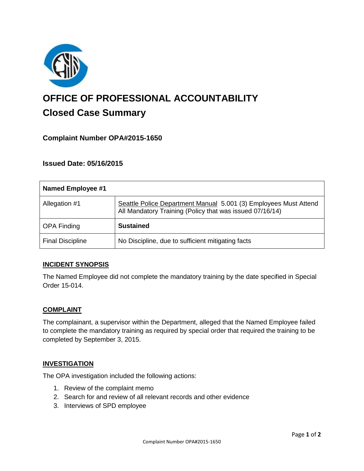

# **OFFICE OF PROFESSIONAL ACCOUNTABILITY Closed Case Summary**

# **Complaint Number OPA#2015-1650**

## **Issued Date: 05/16/2015**

| <b>Named Employee #1</b> |                                                                                                                              |
|--------------------------|------------------------------------------------------------------------------------------------------------------------------|
| Allegation #1            | Seattle Police Department Manual 5.001 (3) Employees Must Attend<br>All Mandatory Training (Policy that was issued 07/16/14) |
| <b>OPA Finding</b>       | <b>Sustained</b>                                                                                                             |
| <b>Final Discipline</b>  | No Discipline, due to sufficient mitigating facts                                                                            |

## **INCIDENT SYNOPSIS**

The Named Employee did not complete the mandatory training by the date specified in Special Order 15-014.

#### **COMPLAINT**

The complainant, a supervisor within the Department, alleged that the Named Employee failed to complete the mandatory training as required by special order that required the training to be completed by September 3, 2015.

#### **INVESTIGATION**

The OPA investigation included the following actions:

- 1. Review of the complaint memo
- 2. Search for and review of all relevant records and other evidence
- 3. Interviews of SPD employee